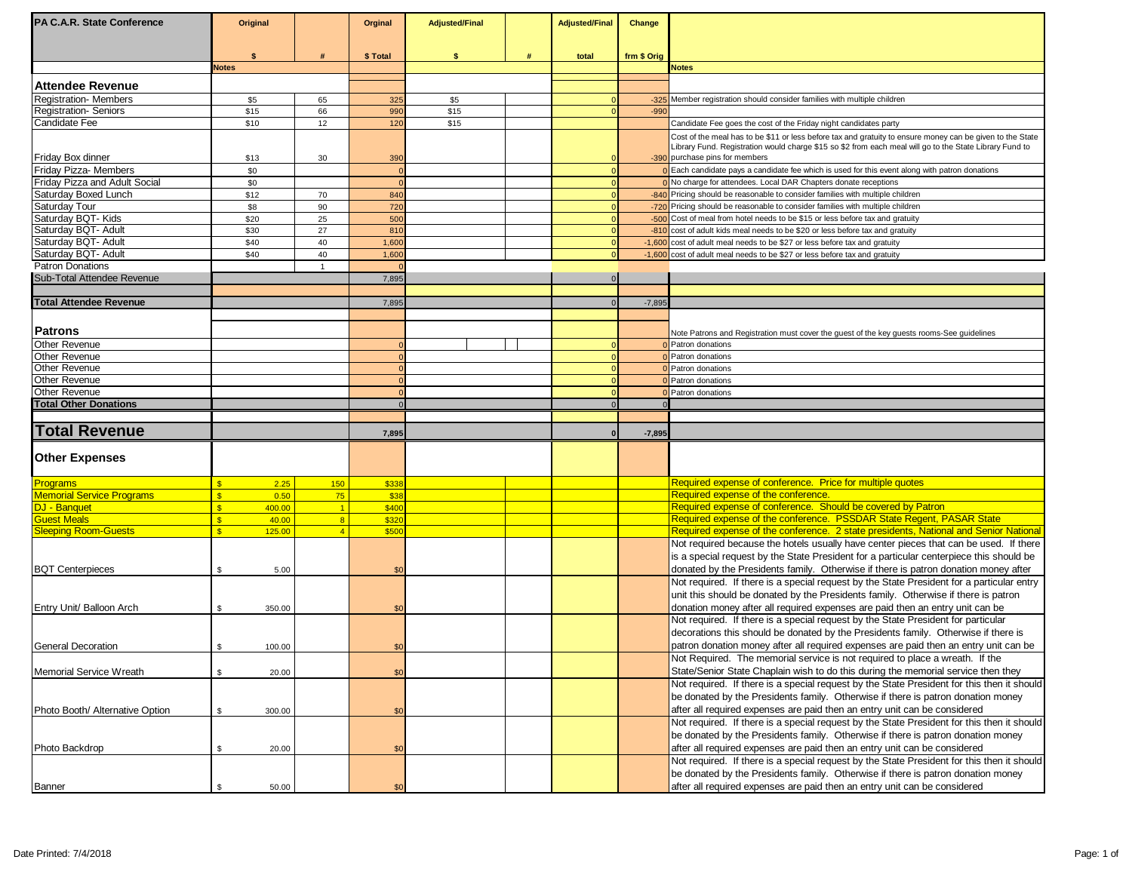| PA C.A.R. State Conference                           | Original               |                | Orginal         | <b>Adjusted/Final</b> |   | <b>Adjusted/Final</b> | Change      |                                                                                                                                                                                                                                                        |
|------------------------------------------------------|------------------------|----------------|-----------------|-----------------------|---|-----------------------|-------------|--------------------------------------------------------------------------------------------------------------------------------------------------------------------------------------------------------------------------------------------------------|
|                                                      |                        |                |                 |                       |   |                       |             |                                                                                                                                                                                                                                                        |
|                                                      | Ŝ.                     | #              | \$ Total        | \$                    | # | total                 | frm \$ Orig |                                                                                                                                                                                                                                                        |
|                                                      | <b>Notes</b>           |                |                 |                       |   |                       |             | <b>Notes</b>                                                                                                                                                                                                                                           |
| <b>Attendee Revenue</b>                              |                        |                |                 |                       |   |                       |             |                                                                                                                                                                                                                                                        |
| <b>Registration- Members</b>                         | \$5                    | 65             | 325             | \$5                   |   |                       |             | -325 Member registration should consider families with multiple children                                                                                                                                                                               |
| Registration-Seniors                                 | \$15                   | 66             | 990             | \$15                  |   |                       | $-990$      |                                                                                                                                                                                                                                                        |
| Candidate Fee                                        | \$10                   | 12             | 120             | \$15                  |   |                       |             | Candidate Fee goes the cost of the Friday night candidates party                                                                                                                                                                                       |
| Friday Box dinner                                    | \$13                   | 30             | 390             |                       |   |                       |             | Cost of the meal has to be \$11 or less before tax and gratuity to ensure money can be given to the State<br>Library Fund. Registration would charge \$15 so \$2 from each meal will go to the State Library Fund to<br>-390 purchase pins for members |
| Friday Pizza- Members                                | \$0                    |                |                 |                       |   |                       |             | 0 Each candidate pays a candidate fee which is used for this event along with patron donations                                                                                                                                                         |
| Friday Pizza and Adult Social                        | \$0                    |                | $\Omega$        |                       |   |                       |             | 0 No charge for attendees. Local DAR Chapters donate receptions                                                                                                                                                                                        |
| Saturday Boxed Lunch                                 | \$12                   | 70             | 840             |                       |   |                       |             | -840 Pricing should be reasonable to consider families with multiple children                                                                                                                                                                          |
| Saturday Tour                                        | \$8                    | 90             | 720             |                       |   |                       |             | -720 Pricing should be reasonable to consider families with multiple children                                                                                                                                                                          |
| Saturday BQT- Kids                                   | \$20                   | 25             | 500             |                       |   |                       |             | -500 Cost of meal from hotel needs to be \$15 or less before tax and gratuity                                                                                                                                                                          |
| Saturday BQT- Adult                                  | \$30                   | 27             | 810             |                       |   |                       |             | -810 cost of adult kids meal needs to be \$20 or less before tax and gratuity                                                                                                                                                                          |
| Saturday BQT- Adult                                  | \$40                   | 40             | 1,600           |                       |   |                       |             | -1,600 cost of adult meal needs to be \$27 or less before tax and gratuity                                                                                                                                                                             |
| Saturday BQT- Adult                                  | \$40                   | 40             | 1,600           |                       |   |                       |             | -1,600 cost of adult meal needs to be \$27 or less before tax and gratuity                                                                                                                                                                             |
| <b>Patron Donations</b>                              |                        | $\overline{1}$ |                 |                       |   |                       |             |                                                                                                                                                                                                                                                        |
| Sub-Total Attendee Revenue                           |                        |                | 7,895           |                       |   |                       |             |                                                                                                                                                                                                                                                        |
| <b>Total Attendee Revenue</b>                        |                        |                | 7,895           |                       |   |                       |             |                                                                                                                                                                                                                                                        |
|                                                      |                        |                |                 |                       |   |                       | $-7,895$    |                                                                                                                                                                                                                                                        |
|                                                      |                        |                |                 |                       |   |                       |             |                                                                                                                                                                                                                                                        |
| <b>Patrons</b>                                       |                        |                |                 |                       |   |                       |             | Note Patrons and Registration must cover the guest of the key guests rooms-See guidelines                                                                                                                                                              |
| <b>Other Revenue</b>                                 |                        |                |                 |                       |   |                       |             | <b>O</b> Patron donations                                                                                                                                                                                                                              |
| Other Revenue                                        |                        |                |                 |                       |   |                       |             | 0 Patron donations                                                                                                                                                                                                                                     |
| Other Revenue                                        |                        |                |                 |                       |   |                       |             | 0 Patron donations                                                                                                                                                                                                                                     |
| Other Revenue                                        |                        |                | $\Omega$        |                       |   |                       |             | 0 Patron donations                                                                                                                                                                                                                                     |
| <b>Other Revenue</b><br><b>Total Other Donations</b> |                        |                |                 |                       |   |                       |             | 0 Patron donations                                                                                                                                                                                                                                     |
|                                                      |                        |                |                 |                       |   |                       |             |                                                                                                                                                                                                                                                        |
| <b>Total Revenue</b>                                 |                        |                | 7,895           |                       |   |                       | $-7,895$    |                                                                                                                                                                                                                                                        |
| <b>Other Expenses</b>                                |                        |                |                 |                       |   |                       |             |                                                                                                                                                                                                                                                        |
| Programs                                             | 2.25<br>$\mathbf{s}$   | 150            | \$338           |                       |   |                       |             | Required expense of conference. Price for multiple quotes                                                                                                                                                                                              |
| <b>Memorial Service Programs</b>                     | $\mathbf{s}$<br>0.50   | 75             | \$31            |                       |   |                       |             | Required expense of the conference.                                                                                                                                                                                                                    |
| <b>DJ</b> - Banquet                                  | 400.00<br>$\mathbf{s}$ | $\overline{1}$ | \$400           |                       |   |                       |             | Required expense of conference. Should be covered by Patron                                                                                                                                                                                            |
| <b>Guest Meals</b>                                   | 40.00<br>$\mathbf{s}$  | 8              | \$32            |                       |   |                       |             | Required expense of the conference. PSSDAR State Regent, PASAR State                                                                                                                                                                                   |
| <b>Sleeping Room-Guests</b>                          | $\mathbb{R}$<br>125.00 |                | \$50            |                       |   |                       |             | Required expense of the conference. 2 state presidents, National and Senior Nationa                                                                                                                                                                    |
|                                                      |                        |                |                 |                       |   |                       |             | Not required because the hotels usually have center pieces that can be used. If there                                                                                                                                                                  |
|                                                      |                        |                |                 |                       |   |                       |             | is a special request by the State President for a particular centerpiece this should be                                                                                                                                                                |
| <b>BQT Centerpieces</b>                              | 5.00                   |                | \$0             |                       |   |                       |             | donated by the Presidents family. Otherwise if there is patron donation money after                                                                                                                                                                    |
|                                                      |                        |                |                 |                       |   |                       |             | Not required. If there is a special request by the State President for a particular entry                                                                                                                                                              |
|                                                      |                        |                |                 |                       |   |                       |             | unit this should be donated by the Presidents family. Otherwise if there is patron                                                                                                                                                                     |
| Entry Unit/ Balloon Arch                             | 350.00<br>£.           |                | \$ <sub>6</sub> |                       |   |                       |             | donation money after all required expenses are paid then an entry unit can be                                                                                                                                                                          |
|                                                      |                        |                |                 |                       |   |                       |             | Not required. If there is a special request by the State President for particular                                                                                                                                                                      |
|                                                      |                        |                |                 |                       |   |                       |             | decorations this should be donated by the Presidents family. Otherwise if there is                                                                                                                                                                     |
| General Decoration                                   | 100.00<br>£.           |                | \$0             |                       |   |                       |             | patron donation money after all required expenses are paid then an entry unit can be                                                                                                                                                                   |
|                                                      |                        |                |                 |                       |   |                       |             | Not Required. The memorial service is not required to place a wreath. If the                                                                                                                                                                           |
| Memorial Service Wreath                              | 20.00<br>\$.           |                | \$0             |                       |   |                       |             | State/Senior State Chaplain wish to do this during the memorial service then they                                                                                                                                                                      |
|                                                      |                        |                |                 |                       |   |                       |             | Not required. If there is a special request by the State President for this then it should                                                                                                                                                             |
|                                                      |                        |                |                 |                       |   |                       |             | be donated by the Presidents family. Otherwise if there is patron donation money                                                                                                                                                                       |
| Photo Booth/ Alternative Option                      | 300.00<br>\$.          |                | \$ſ             |                       |   |                       |             | after all required expenses are paid then an entry unit can be considered                                                                                                                                                                              |
|                                                      |                        |                |                 |                       |   |                       |             | Not required. If there is a special request by the State President for this then it should                                                                                                                                                             |
|                                                      |                        |                |                 |                       |   |                       |             | be donated by the Presidents family. Otherwise if there is patron donation money                                                                                                                                                                       |
| Photo Backdrop                                       | \$<br>20.00            |                | \$0             |                       |   |                       |             | after all required expenses are paid then an entry unit can be considered                                                                                                                                                                              |
|                                                      |                        |                |                 |                       |   |                       |             | Not required. If there is a special request by the State President for this then it should                                                                                                                                                             |
|                                                      |                        |                |                 |                       |   |                       |             | be donated by the Presidents family. Otherwise if there is patron donation money                                                                                                                                                                       |
| Banner                                               | 50.00                  |                | \$0             |                       |   |                       |             | after all required expenses are paid then an entry unit can be considered                                                                                                                                                                              |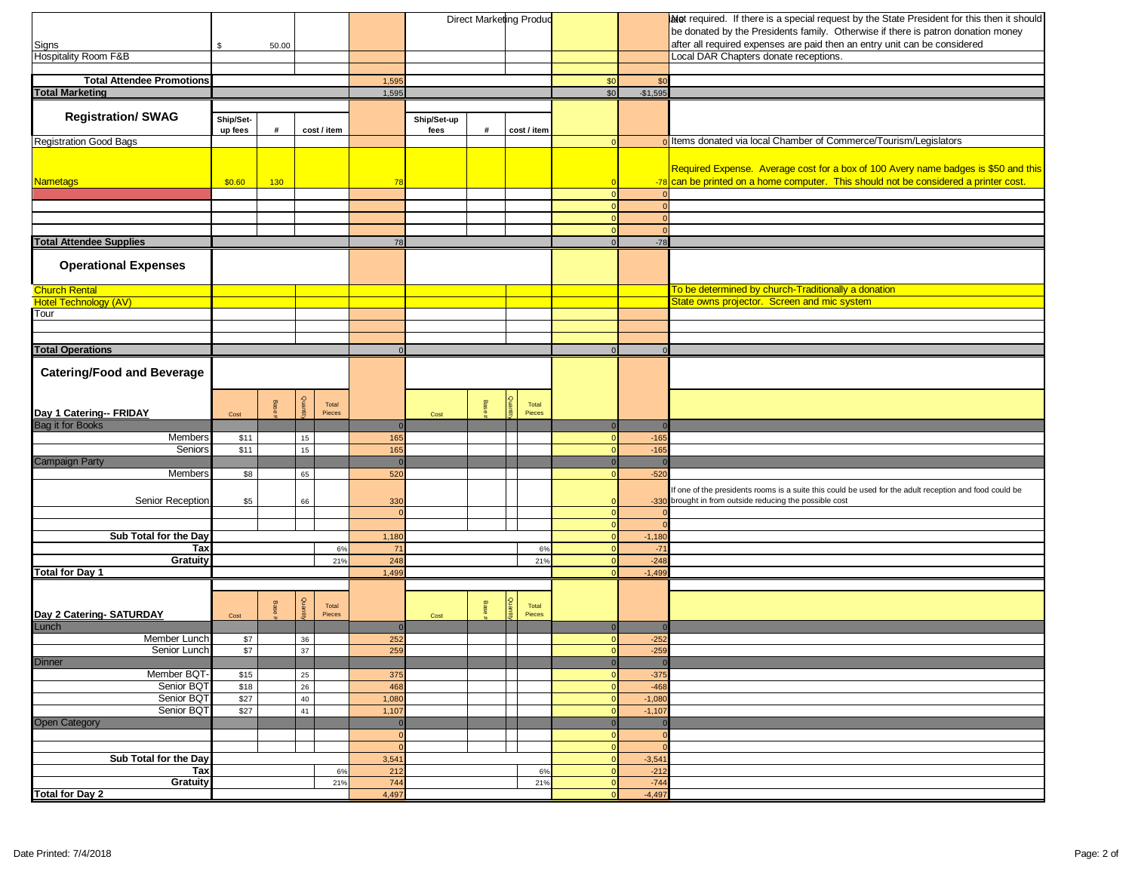| after all required expenses are paid then an entry unit can be considered<br>Signs<br>50.00<br>\$.<br>Hospitality Room F&B<br>Local DAR Chapters donate receptions.<br><b>Total Attendee Promotions</b><br>\$0<br>1,595<br>\$0<br><b>Total Marketing</b><br>1,595<br>\$0<br>$-$1,595$<br><b>Registration/SWAG</b><br>Ship/Set-<br>Ship/Set-up<br>up fees<br>cost / item<br>cost / item<br>fees<br>#<br>#<br>o Items donated via local Chamber of Commerce/Tourism/Legislators<br><b>Registration Good Bags</b><br>-78 can be printed on a home computer. This should not be considered a printer cost.<br><b>Nametags</b><br>\$0.60<br>130<br>78<br>$\Omega$<br>$\Omega$<br>$\Omega$<br><b>Total Attendee Supplies</b><br>78<br>$-78$<br><b>Operational Expenses</b><br><b>Church Rental</b><br>To be determined by church-Traditionally a donation<br><b>Hotel Technology (AV)</b><br>State owns projector. Screen and mic system<br>Tour<br><b>Total Operations</b><br>$\Omega$<br><b>Catering/Food and Beverage</b><br>Ouan<br>Base<br>Base<br>Total<br>Total<br>Day 1 Catering-- FRIDAY<br>Bag it for Books<br>Pieces<br>Pieces<br>Cost<br>Cost<br>$\Omega$<br>Members<br>\$11<br>165<br>15<br>$-165$<br>Seniors<br>\$11<br>165<br>15<br>$-165$<br>Campaign Party<br>Members<br>\$8<br>65<br>520<br>$-520$<br>f one of the presidents rooms is a suite this could be used for the adult reception and food could be<br>Senior Reception<br>\$5<br>-330 brought in from outside reducing the possible cost<br>66<br>330<br>$\sqrt{ }$<br>Sub Total for the Day<br>$-1,180$<br>1,180<br>Tax<br>$-71$<br>71<br>6%<br>6%<br>Gratuity<br>248<br>$-248$<br>21%<br>21%<br><b>Total for Day 1</b><br>1,499<br>$-1,499$<br>ă<br>Base<br>Total<br>Total<br>Day 2 Catering- SATURDAY<br>Pieces<br>Pieces<br>Cost<br>Cost<br>Member Lunch<br>\$7<br>$36\,$<br>252<br>$-252$<br>Senior Lunch<br>$$7\,$<br>$37\,$<br>259<br>$-259$<br><b>Dinner</b><br>Member BQT-<br>\$15<br>$25\,$<br>375<br>$-375$<br>Senior BQT<br>$26\,$<br>\$18<br>468<br>$-468$<br>Senior BQT<br>\$27<br>40<br>1,080<br>$-1,080$<br>Senior BQT<br>\$27<br>41<br>1,107<br>$-1,107$<br><b>Open Category</b><br>$\Omega$<br>$\Omega$<br>Sub Total for the Day<br>3,541<br>$-3,541$<br>Tax<br>212<br>$-212$<br>6%<br>6%<br>Gratuity<br>744<br>$-744$<br>21%<br>21% |                        |  |  |       | <b>Direct Marketing Produc</b> |  |          | alet required. If there is a special request by the State President for this then it should |
|-----------------------------------------------------------------------------------------------------------------------------------------------------------------------------------------------------------------------------------------------------------------------------------------------------------------------------------------------------------------------------------------------------------------------------------------------------------------------------------------------------------------------------------------------------------------------------------------------------------------------------------------------------------------------------------------------------------------------------------------------------------------------------------------------------------------------------------------------------------------------------------------------------------------------------------------------------------------------------------------------------------------------------------------------------------------------------------------------------------------------------------------------------------------------------------------------------------------------------------------------------------------------------------------------------------------------------------------------------------------------------------------------------------------------------------------------------------------------------------------------------------------------------------------------------------------------------------------------------------------------------------------------------------------------------------------------------------------------------------------------------------------------------------------------------------------------------------------------------------------------------------------------------------------------------------------------------------------------------------------------------------------------------------------------------------------------------------------------------------------------------------------------------------------------------------------------------------------------------------------------------------------------------------------------------------------------------|------------------------|--|--|-------|--------------------------------|--|----------|---------------------------------------------------------------------------------------------|
|                                                                                                                                                                                                                                                                                                                                                                                                                                                                                                                                                                                                                                                                                                                                                                                                                                                                                                                                                                                                                                                                                                                                                                                                                                                                                                                                                                                                                                                                                                                                                                                                                                                                                                                                                                                                                                                                                                                                                                                                                                                                                                                                                                                                                                                                                                                             |                        |  |  |       |                                |  |          | be donated by the Presidents family. Otherwise if there is patron donation money            |
|                                                                                                                                                                                                                                                                                                                                                                                                                                                                                                                                                                                                                                                                                                                                                                                                                                                                                                                                                                                                                                                                                                                                                                                                                                                                                                                                                                                                                                                                                                                                                                                                                                                                                                                                                                                                                                                                                                                                                                                                                                                                                                                                                                                                                                                                                                                             |                        |  |  |       |                                |  |          |                                                                                             |
|                                                                                                                                                                                                                                                                                                                                                                                                                                                                                                                                                                                                                                                                                                                                                                                                                                                                                                                                                                                                                                                                                                                                                                                                                                                                                                                                                                                                                                                                                                                                                                                                                                                                                                                                                                                                                                                                                                                                                                                                                                                                                                                                                                                                                                                                                                                             |                        |  |  |       |                                |  |          |                                                                                             |
|                                                                                                                                                                                                                                                                                                                                                                                                                                                                                                                                                                                                                                                                                                                                                                                                                                                                                                                                                                                                                                                                                                                                                                                                                                                                                                                                                                                                                                                                                                                                                                                                                                                                                                                                                                                                                                                                                                                                                                                                                                                                                                                                                                                                                                                                                                                             |                        |  |  |       |                                |  |          |                                                                                             |
|                                                                                                                                                                                                                                                                                                                                                                                                                                                                                                                                                                                                                                                                                                                                                                                                                                                                                                                                                                                                                                                                                                                                                                                                                                                                                                                                                                                                                                                                                                                                                                                                                                                                                                                                                                                                                                                                                                                                                                                                                                                                                                                                                                                                                                                                                                                             |                        |  |  |       |                                |  |          |                                                                                             |
|                                                                                                                                                                                                                                                                                                                                                                                                                                                                                                                                                                                                                                                                                                                                                                                                                                                                                                                                                                                                                                                                                                                                                                                                                                                                                                                                                                                                                                                                                                                                                                                                                                                                                                                                                                                                                                                                                                                                                                                                                                                                                                                                                                                                                                                                                                                             |                        |  |  |       |                                |  |          |                                                                                             |
|                                                                                                                                                                                                                                                                                                                                                                                                                                                                                                                                                                                                                                                                                                                                                                                                                                                                                                                                                                                                                                                                                                                                                                                                                                                                                                                                                                                                                                                                                                                                                                                                                                                                                                                                                                                                                                                                                                                                                                                                                                                                                                                                                                                                                                                                                                                             |                        |  |  |       |                                |  |          |                                                                                             |
|                                                                                                                                                                                                                                                                                                                                                                                                                                                                                                                                                                                                                                                                                                                                                                                                                                                                                                                                                                                                                                                                                                                                                                                                                                                                                                                                                                                                                                                                                                                                                                                                                                                                                                                                                                                                                                                                                                                                                                                                                                                                                                                                                                                                                                                                                                                             |                        |  |  |       |                                |  |          |                                                                                             |
|                                                                                                                                                                                                                                                                                                                                                                                                                                                                                                                                                                                                                                                                                                                                                                                                                                                                                                                                                                                                                                                                                                                                                                                                                                                                                                                                                                                                                                                                                                                                                                                                                                                                                                                                                                                                                                                                                                                                                                                                                                                                                                                                                                                                                                                                                                                             |                        |  |  |       |                                |  |          |                                                                                             |
|                                                                                                                                                                                                                                                                                                                                                                                                                                                                                                                                                                                                                                                                                                                                                                                                                                                                                                                                                                                                                                                                                                                                                                                                                                                                                                                                                                                                                                                                                                                                                                                                                                                                                                                                                                                                                                                                                                                                                                                                                                                                                                                                                                                                                                                                                                                             |                        |  |  |       |                                |  |          | Required Expense. Average cost for a box of 100 Avery name badges is \$50 and this          |
|                                                                                                                                                                                                                                                                                                                                                                                                                                                                                                                                                                                                                                                                                                                                                                                                                                                                                                                                                                                                                                                                                                                                                                                                                                                                                                                                                                                                                                                                                                                                                                                                                                                                                                                                                                                                                                                                                                                                                                                                                                                                                                                                                                                                                                                                                                                             |                        |  |  |       |                                |  |          |                                                                                             |
|                                                                                                                                                                                                                                                                                                                                                                                                                                                                                                                                                                                                                                                                                                                                                                                                                                                                                                                                                                                                                                                                                                                                                                                                                                                                                                                                                                                                                                                                                                                                                                                                                                                                                                                                                                                                                                                                                                                                                                                                                                                                                                                                                                                                                                                                                                                             |                        |  |  |       |                                |  |          |                                                                                             |
|                                                                                                                                                                                                                                                                                                                                                                                                                                                                                                                                                                                                                                                                                                                                                                                                                                                                                                                                                                                                                                                                                                                                                                                                                                                                                                                                                                                                                                                                                                                                                                                                                                                                                                                                                                                                                                                                                                                                                                                                                                                                                                                                                                                                                                                                                                                             |                        |  |  |       |                                |  |          |                                                                                             |
|                                                                                                                                                                                                                                                                                                                                                                                                                                                                                                                                                                                                                                                                                                                                                                                                                                                                                                                                                                                                                                                                                                                                                                                                                                                                                                                                                                                                                                                                                                                                                                                                                                                                                                                                                                                                                                                                                                                                                                                                                                                                                                                                                                                                                                                                                                                             |                        |  |  |       |                                |  |          |                                                                                             |
|                                                                                                                                                                                                                                                                                                                                                                                                                                                                                                                                                                                                                                                                                                                                                                                                                                                                                                                                                                                                                                                                                                                                                                                                                                                                                                                                                                                                                                                                                                                                                                                                                                                                                                                                                                                                                                                                                                                                                                                                                                                                                                                                                                                                                                                                                                                             |                        |  |  |       |                                |  |          |                                                                                             |
|                                                                                                                                                                                                                                                                                                                                                                                                                                                                                                                                                                                                                                                                                                                                                                                                                                                                                                                                                                                                                                                                                                                                                                                                                                                                                                                                                                                                                                                                                                                                                                                                                                                                                                                                                                                                                                                                                                                                                                                                                                                                                                                                                                                                                                                                                                                             |                        |  |  |       |                                |  |          |                                                                                             |
|                                                                                                                                                                                                                                                                                                                                                                                                                                                                                                                                                                                                                                                                                                                                                                                                                                                                                                                                                                                                                                                                                                                                                                                                                                                                                                                                                                                                                                                                                                                                                                                                                                                                                                                                                                                                                                                                                                                                                                                                                                                                                                                                                                                                                                                                                                                             |                        |  |  |       |                                |  |          |                                                                                             |
|                                                                                                                                                                                                                                                                                                                                                                                                                                                                                                                                                                                                                                                                                                                                                                                                                                                                                                                                                                                                                                                                                                                                                                                                                                                                                                                                                                                                                                                                                                                                                                                                                                                                                                                                                                                                                                                                                                                                                                                                                                                                                                                                                                                                                                                                                                                             |                        |  |  |       |                                |  |          |                                                                                             |
|                                                                                                                                                                                                                                                                                                                                                                                                                                                                                                                                                                                                                                                                                                                                                                                                                                                                                                                                                                                                                                                                                                                                                                                                                                                                                                                                                                                                                                                                                                                                                                                                                                                                                                                                                                                                                                                                                                                                                                                                                                                                                                                                                                                                                                                                                                                             |                        |  |  |       |                                |  |          |                                                                                             |
|                                                                                                                                                                                                                                                                                                                                                                                                                                                                                                                                                                                                                                                                                                                                                                                                                                                                                                                                                                                                                                                                                                                                                                                                                                                                                                                                                                                                                                                                                                                                                                                                                                                                                                                                                                                                                                                                                                                                                                                                                                                                                                                                                                                                                                                                                                                             |                        |  |  |       |                                |  |          |                                                                                             |
|                                                                                                                                                                                                                                                                                                                                                                                                                                                                                                                                                                                                                                                                                                                                                                                                                                                                                                                                                                                                                                                                                                                                                                                                                                                                                                                                                                                                                                                                                                                                                                                                                                                                                                                                                                                                                                                                                                                                                                                                                                                                                                                                                                                                                                                                                                                             |                        |  |  |       |                                |  |          |                                                                                             |
|                                                                                                                                                                                                                                                                                                                                                                                                                                                                                                                                                                                                                                                                                                                                                                                                                                                                                                                                                                                                                                                                                                                                                                                                                                                                                                                                                                                                                                                                                                                                                                                                                                                                                                                                                                                                                                                                                                                                                                                                                                                                                                                                                                                                                                                                                                                             |                        |  |  |       |                                |  |          |                                                                                             |
|                                                                                                                                                                                                                                                                                                                                                                                                                                                                                                                                                                                                                                                                                                                                                                                                                                                                                                                                                                                                                                                                                                                                                                                                                                                                                                                                                                                                                                                                                                                                                                                                                                                                                                                                                                                                                                                                                                                                                                                                                                                                                                                                                                                                                                                                                                                             |                        |  |  |       |                                |  |          |                                                                                             |
|                                                                                                                                                                                                                                                                                                                                                                                                                                                                                                                                                                                                                                                                                                                                                                                                                                                                                                                                                                                                                                                                                                                                                                                                                                                                                                                                                                                                                                                                                                                                                                                                                                                                                                                                                                                                                                                                                                                                                                                                                                                                                                                                                                                                                                                                                                                             |                        |  |  |       |                                |  |          |                                                                                             |
|                                                                                                                                                                                                                                                                                                                                                                                                                                                                                                                                                                                                                                                                                                                                                                                                                                                                                                                                                                                                                                                                                                                                                                                                                                                                                                                                                                                                                                                                                                                                                                                                                                                                                                                                                                                                                                                                                                                                                                                                                                                                                                                                                                                                                                                                                                                             |                        |  |  |       |                                |  |          |                                                                                             |
|                                                                                                                                                                                                                                                                                                                                                                                                                                                                                                                                                                                                                                                                                                                                                                                                                                                                                                                                                                                                                                                                                                                                                                                                                                                                                                                                                                                                                                                                                                                                                                                                                                                                                                                                                                                                                                                                                                                                                                                                                                                                                                                                                                                                                                                                                                                             |                        |  |  |       |                                |  |          |                                                                                             |
|                                                                                                                                                                                                                                                                                                                                                                                                                                                                                                                                                                                                                                                                                                                                                                                                                                                                                                                                                                                                                                                                                                                                                                                                                                                                                                                                                                                                                                                                                                                                                                                                                                                                                                                                                                                                                                                                                                                                                                                                                                                                                                                                                                                                                                                                                                                             |                        |  |  |       |                                |  |          |                                                                                             |
|                                                                                                                                                                                                                                                                                                                                                                                                                                                                                                                                                                                                                                                                                                                                                                                                                                                                                                                                                                                                                                                                                                                                                                                                                                                                                                                                                                                                                                                                                                                                                                                                                                                                                                                                                                                                                                                                                                                                                                                                                                                                                                                                                                                                                                                                                                                             |                        |  |  |       |                                |  |          |                                                                                             |
|                                                                                                                                                                                                                                                                                                                                                                                                                                                                                                                                                                                                                                                                                                                                                                                                                                                                                                                                                                                                                                                                                                                                                                                                                                                                                                                                                                                                                                                                                                                                                                                                                                                                                                                                                                                                                                                                                                                                                                                                                                                                                                                                                                                                                                                                                                                             |                        |  |  |       |                                |  |          |                                                                                             |
|                                                                                                                                                                                                                                                                                                                                                                                                                                                                                                                                                                                                                                                                                                                                                                                                                                                                                                                                                                                                                                                                                                                                                                                                                                                                                                                                                                                                                                                                                                                                                                                                                                                                                                                                                                                                                                                                                                                                                                                                                                                                                                                                                                                                                                                                                                                             |                        |  |  |       |                                |  |          |                                                                                             |
|                                                                                                                                                                                                                                                                                                                                                                                                                                                                                                                                                                                                                                                                                                                                                                                                                                                                                                                                                                                                                                                                                                                                                                                                                                                                                                                                                                                                                                                                                                                                                                                                                                                                                                                                                                                                                                                                                                                                                                                                                                                                                                                                                                                                                                                                                                                             |                        |  |  |       |                                |  |          |                                                                                             |
|                                                                                                                                                                                                                                                                                                                                                                                                                                                                                                                                                                                                                                                                                                                                                                                                                                                                                                                                                                                                                                                                                                                                                                                                                                                                                                                                                                                                                                                                                                                                                                                                                                                                                                                                                                                                                                                                                                                                                                                                                                                                                                                                                                                                                                                                                                                             |                        |  |  |       |                                |  |          |                                                                                             |
|                                                                                                                                                                                                                                                                                                                                                                                                                                                                                                                                                                                                                                                                                                                                                                                                                                                                                                                                                                                                                                                                                                                                                                                                                                                                                                                                                                                                                                                                                                                                                                                                                                                                                                                                                                                                                                                                                                                                                                                                                                                                                                                                                                                                                                                                                                                             |                        |  |  |       |                                |  |          |                                                                                             |
|                                                                                                                                                                                                                                                                                                                                                                                                                                                                                                                                                                                                                                                                                                                                                                                                                                                                                                                                                                                                                                                                                                                                                                                                                                                                                                                                                                                                                                                                                                                                                                                                                                                                                                                                                                                                                                                                                                                                                                                                                                                                                                                                                                                                                                                                                                                             |                        |  |  |       |                                |  |          |                                                                                             |
|                                                                                                                                                                                                                                                                                                                                                                                                                                                                                                                                                                                                                                                                                                                                                                                                                                                                                                                                                                                                                                                                                                                                                                                                                                                                                                                                                                                                                                                                                                                                                                                                                                                                                                                                                                                                                                                                                                                                                                                                                                                                                                                                                                                                                                                                                                                             |                        |  |  |       |                                |  |          |                                                                                             |
|                                                                                                                                                                                                                                                                                                                                                                                                                                                                                                                                                                                                                                                                                                                                                                                                                                                                                                                                                                                                                                                                                                                                                                                                                                                                                                                                                                                                                                                                                                                                                                                                                                                                                                                                                                                                                                                                                                                                                                                                                                                                                                                                                                                                                                                                                                                             |                        |  |  |       |                                |  |          |                                                                                             |
|                                                                                                                                                                                                                                                                                                                                                                                                                                                                                                                                                                                                                                                                                                                                                                                                                                                                                                                                                                                                                                                                                                                                                                                                                                                                                                                                                                                                                                                                                                                                                                                                                                                                                                                                                                                                                                                                                                                                                                                                                                                                                                                                                                                                                                                                                                                             |                        |  |  |       |                                |  |          |                                                                                             |
|                                                                                                                                                                                                                                                                                                                                                                                                                                                                                                                                                                                                                                                                                                                                                                                                                                                                                                                                                                                                                                                                                                                                                                                                                                                                                                                                                                                                                                                                                                                                                                                                                                                                                                                                                                                                                                                                                                                                                                                                                                                                                                                                                                                                                                                                                                                             |                        |  |  |       |                                |  |          |                                                                                             |
|                                                                                                                                                                                                                                                                                                                                                                                                                                                                                                                                                                                                                                                                                                                                                                                                                                                                                                                                                                                                                                                                                                                                                                                                                                                                                                                                                                                                                                                                                                                                                                                                                                                                                                                                                                                                                                                                                                                                                                                                                                                                                                                                                                                                                                                                                                                             |                        |  |  |       |                                |  |          |                                                                                             |
|                                                                                                                                                                                                                                                                                                                                                                                                                                                                                                                                                                                                                                                                                                                                                                                                                                                                                                                                                                                                                                                                                                                                                                                                                                                                                                                                                                                                                                                                                                                                                                                                                                                                                                                                                                                                                                                                                                                                                                                                                                                                                                                                                                                                                                                                                                                             |                        |  |  |       |                                |  |          |                                                                                             |
|                                                                                                                                                                                                                                                                                                                                                                                                                                                                                                                                                                                                                                                                                                                                                                                                                                                                                                                                                                                                                                                                                                                                                                                                                                                                                                                                                                                                                                                                                                                                                                                                                                                                                                                                                                                                                                                                                                                                                                                                                                                                                                                                                                                                                                                                                                                             |                        |  |  |       |                                |  |          |                                                                                             |
|                                                                                                                                                                                                                                                                                                                                                                                                                                                                                                                                                                                                                                                                                                                                                                                                                                                                                                                                                                                                                                                                                                                                                                                                                                                                                                                                                                                                                                                                                                                                                                                                                                                                                                                                                                                                                                                                                                                                                                                                                                                                                                                                                                                                                                                                                                                             |                        |  |  |       |                                |  |          |                                                                                             |
|                                                                                                                                                                                                                                                                                                                                                                                                                                                                                                                                                                                                                                                                                                                                                                                                                                                                                                                                                                                                                                                                                                                                                                                                                                                                                                                                                                                                                                                                                                                                                                                                                                                                                                                                                                                                                                                                                                                                                                                                                                                                                                                                                                                                                                                                                                                             |                        |  |  |       |                                |  |          |                                                                                             |
|                                                                                                                                                                                                                                                                                                                                                                                                                                                                                                                                                                                                                                                                                                                                                                                                                                                                                                                                                                                                                                                                                                                                                                                                                                                                                                                                                                                                                                                                                                                                                                                                                                                                                                                                                                                                                                                                                                                                                                                                                                                                                                                                                                                                                                                                                                                             |                        |  |  |       |                                |  |          |                                                                                             |
|                                                                                                                                                                                                                                                                                                                                                                                                                                                                                                                                                                                                                                                                                                                                                                                                                                                                                                                                                                                                                                                                                                                                                                                                                                                                                                                                                                                                                                                                                                                                                                                                                                                                                                                                                                                                                                                                                                                                                                                                                                                                                                                                                                                                                                                                                                                             |                        |  |  |       |                                |  |          |                                                                                             |
|                                                                                                                                                                                                                                                                                                                                                                                                                                                                                                                                                                                                                                                                                                                                                                                                                                                                                                                                                                                                                                                                                                                                                                                                                                                                                                                                                                                                                                                                                                                                                                                                                                                                                                                                                                                                                                                                                                                                                                                                                                                                                                                                                                                                                                                                                                                             |                        |  |  |       |                                |  |          |                                                                                             |
|                                                                                                                                                                                                                                                                                                                                                                                                                                                                                                                                                                                                                                                                                                                                                                                                                                                                                                                                                                                                                                                                                                                                                                                                                                                                                                                                                                                                                                                                                                                                                                                                                                                                                                                                                                                                                                                                                                                                                                                                                                                                                                                                                                                                                                                                                                                             |                        |  |  |       |                                |  |          |                                                                                             |
|                                                                                                                                                                                                                                                                                                                                                                                                                                                                                                                                                                                                                                                                                                                                                                                                                                                                                                                                                                                                                                                                                                                                                                                                                                                                                                                                                                                                                                                                                                                                                                                                                                                                                                                                                                                                                                                                                                                                                                                                                                                                                                                                                                                                                                                                                                                             |                        |  |  |       |                                |  |          |                                                                                             |
|                                                                                                                                                                                                                                                                                                                                                                                                                                                                                                                                                                                                                                                                                                                                                                                                                                                                                                                                                                                                                                                                                                                                                                                                                                                                                                                                                                                                                                                                                                                                                                                                                                                                                                                                                                                                                                                                                                                                                                                                                                                                                                                                                                                                                                                                                                                             |                        |  |  |       |                                |  |          |                                                                                             |
|                                                                                                                                                                                                                                                                                                                                                                                                                                                                                                                                                                                                                                                                                                                                                                                                                                                                                                                                                                                                                                                                                                                                                                                                                                                                                                                                                                                                                                                                                                                                                                                                                                                                                                                                                                                                                                                                                                                                                                                                                                                                                                                                                                                                                                                                                                                             |                        |  |  |       |                                |  |          |                                                                                             |
|                                                                                                                                                                                                                                                                                                                                                                                                                                                                                                                                                                                                                                                                                                                                                                                                                                                                                                                                                                                                                                                                                                                                                                                                                                                                                                                                                                                                                                                                                                                                                                                                                                                                                                                                                                                                                                                                                                                                                                                                                                                                                                                                                                                                                                                                                                                             |                        |  |  |       |                                |  |          |                                                                                             |
|                                                                                                                                                                                                                                                                                                                                                                                                                                                                                                                                                                                                                                                                                                                                                                                                                                                                                                                                                                                                                                                                                                                                                                                                                                                                                                                                                                                                                                                                                                                                                                                                                                                                                                                                                                                                                                                                                                                                                                                                                                                                                                                                                                                                                                                                                                                             | <b>Total for Day 2</b> |  |  | 4,497 |                                |  | $-4,497$ |                                                                                             |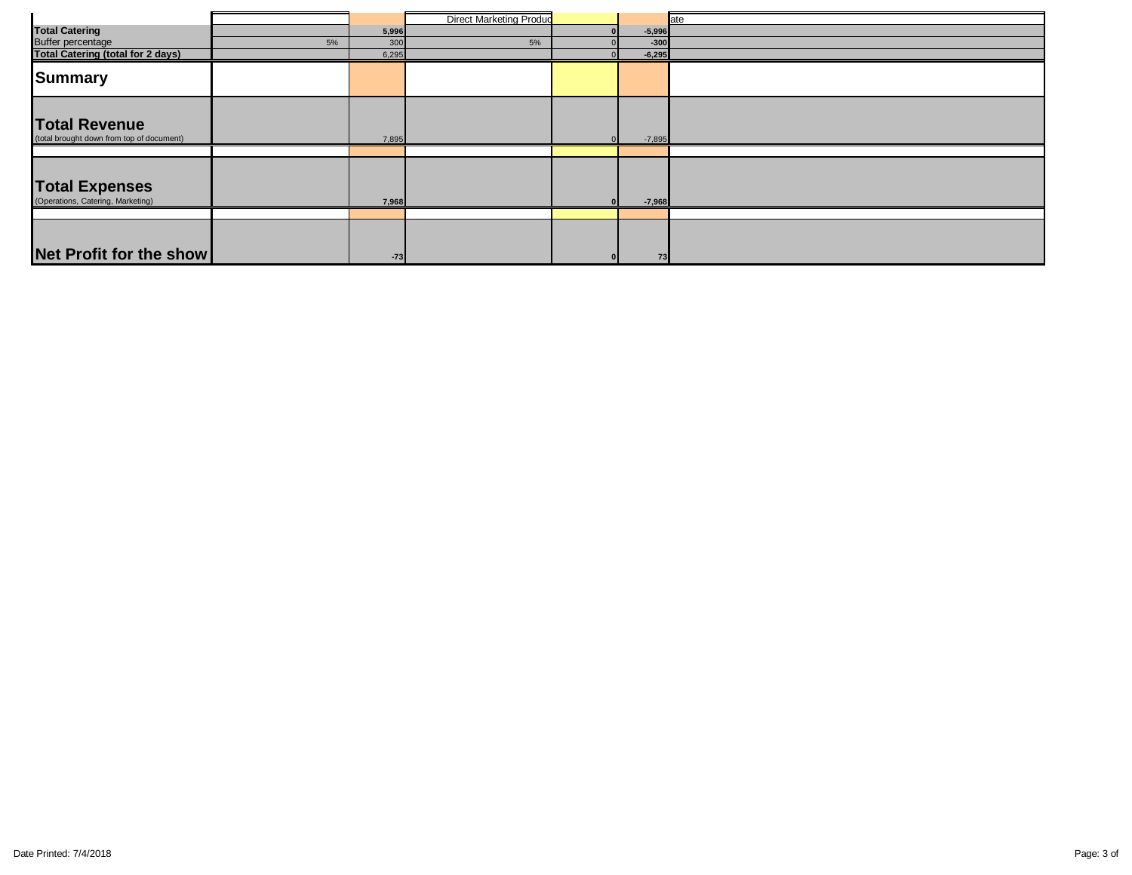|                                                                   |    |       | <b>Direct Marketing Produd</b> |          | late |
|-------------------------------------------------------------------|----|-------|--------------------------------|----------|------|
| <b>Total Catering</b>                                             |    | 5,996 |                                | $-5,996$ |      |
| Buffer percentage                                                 | 5% | 300   | 5%                             | $-300$   |      |
| <b>Total Catering (total for 2 days)</b>                          |    | 6,295 |                                | $-6,295$ |      |
| <b>Summary</b>                                                    |    |       |                                |          |      |
| <b>Total Revenue</b><br>(total brought down from top of document) |    | 7,895 |                                | $-7,895$ |      |
|                                                                   |    |       |                                |          |      |
| <b>Total Expenses</b><br>(Operations, Catering, Marketing)        |    | 7,968 |                                | $-7,968$ |      |
|                                                                   |    |       |                                |          |      |
| Net Profit for the show                                           |    | $-73$ |                                | 73       |      |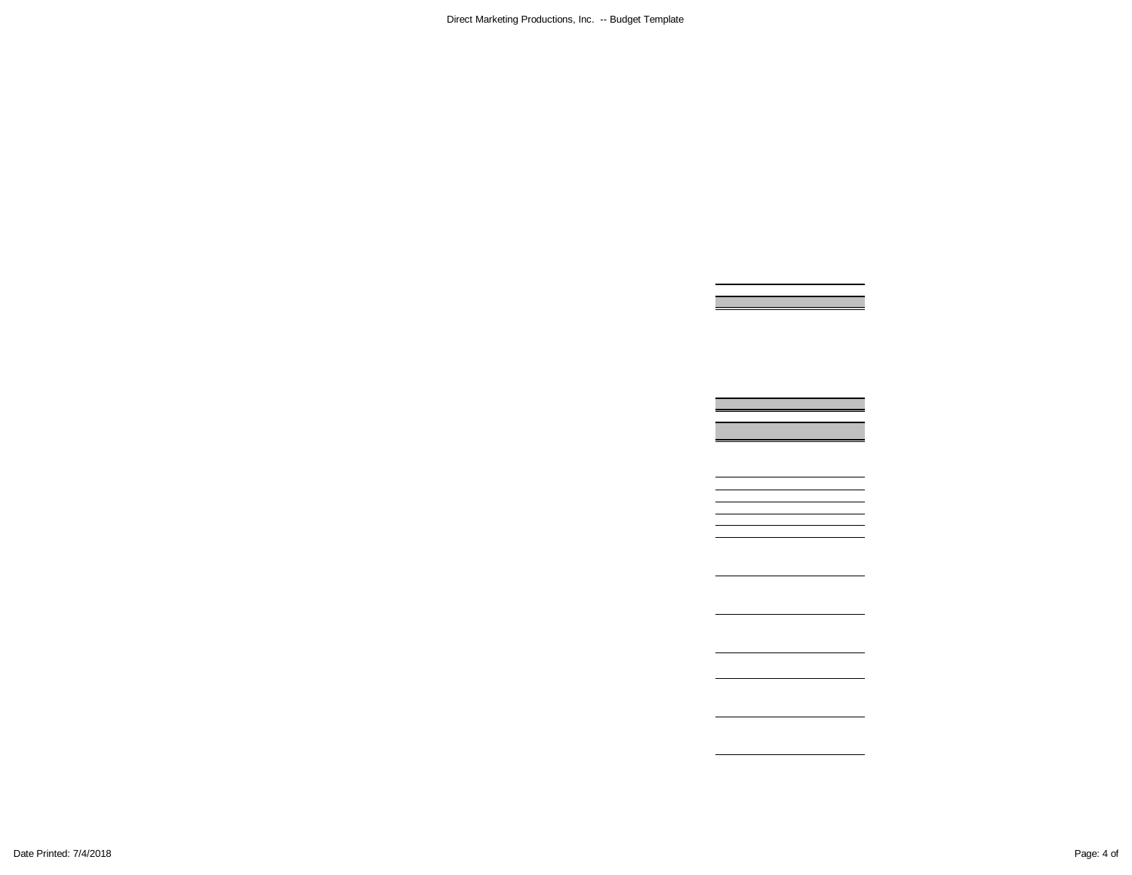Direct Marketing Productions, Inc. -- Budget Template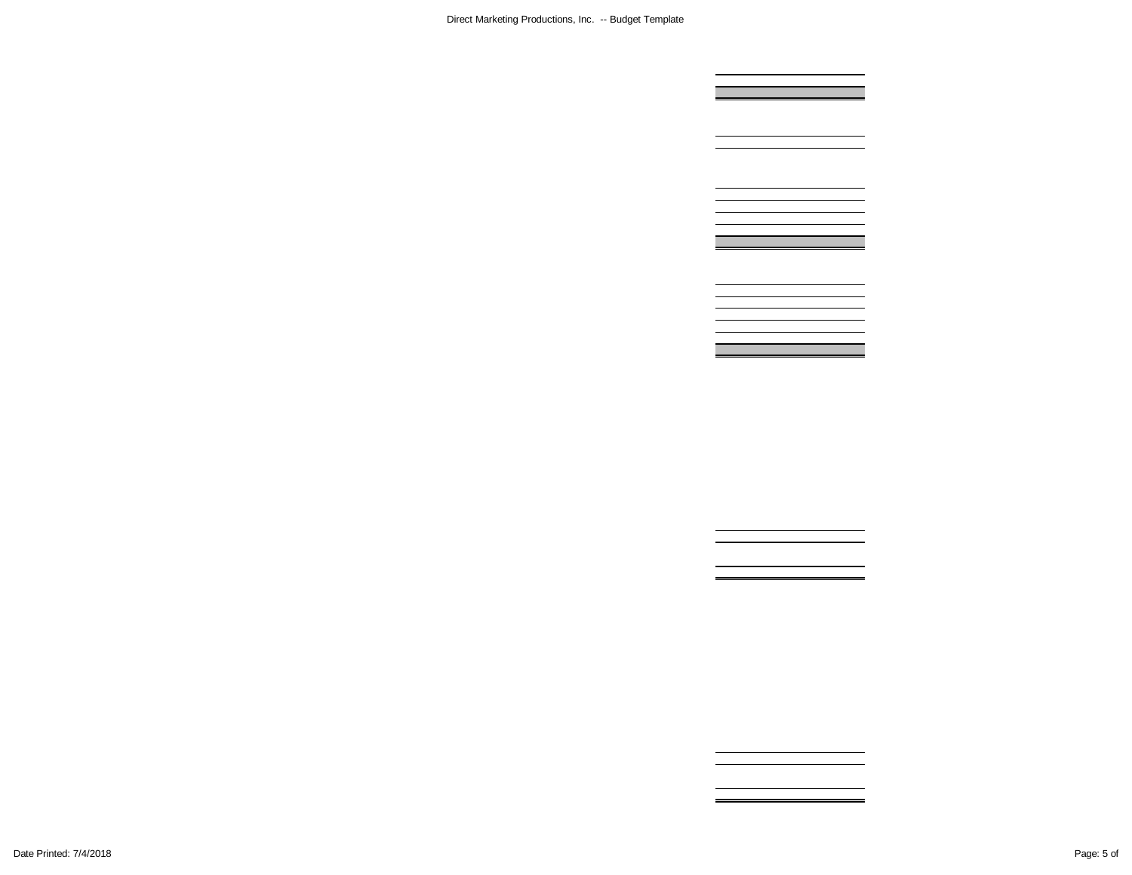Direct Marketing Productions, Inc. -- Budget Template